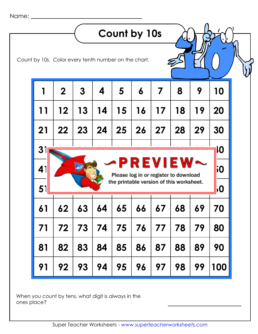|                |             |                  |                                                      | Count by 10s                                            |    |    |    |    |           |
|----------------|-------------|------------------|------------------------------------------------------|---------------------------------------------------------|----|----|----|----|-----------|
|                |             |                  | Count by 10s. Color every tenth number on the chart. |                                                         |    |    |    |    |           |
|                | $\mathbf 2$ | $\boldsymbol{3}$ | 4                                                    | 5                                                       | 6  | 7  | 8  | 9  | 10        |
| 11             | 12          | 13               | 14                                                   | 15                                                      | 16 | 17 | 18 | 19 | 20        |
| 21             | 22          | 23               | 24                                                   | 25                                                      | 26 | 27 | 28 | 29 | 30        |
| 3 <sub>1</sub> |             |                  |                                                      |                                                         |    |    |    |    | IIO       |
| 41             |             |                  |                                                      | <b>-PREVIE</b><br>Please log in or register to download |    |    |    |    | 50        |
| 51             |             |                  |                                                      | the printable version of this worksheet.                |    |    |    |    | <b>10</b> |
| 61             | 62          | 63               | 64                                                   | 65                                                      | 66 | 67 | 68 | 67 | 70        |
| 71             | 72          | 73               | 74                                                   | 75                                                      | 76 | 77 | 78 | 79 | 80        |
| 81             | 82          | 83               | 84                                                   | 85                                                      | 86 | 87 | 88 | 89 | 90        |
| 91             | 92          | 93               | 94                                                   | 95                                                      | 96 | 97 | 98 | 99 | 100       |

When you count by tens, what digit is always in the ones place?